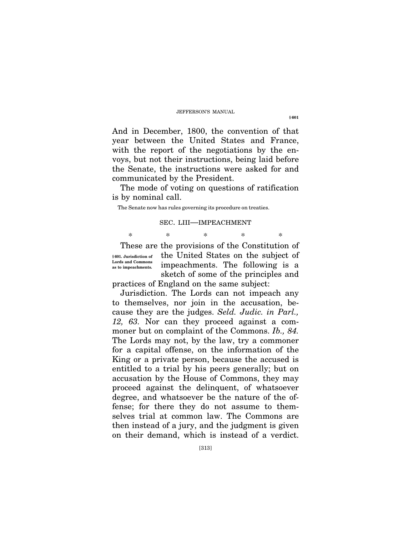And in December, 1800, the convention of that year between the United States and France, with the report of the negotiations by the envoys, but not their instructions, being laid before the Senate, the instructions were asked for and communicated by the President.

The mode of voting on questions of ratification is by nominal call.

The Senate now has rules governing its procedure on treaties.

## SEC. LIII—IMPEACHMENT

\* \* \* \* \*

**§ 601. Jurisdiction of Lords and Commons as to impeachments.** 

These are the provisions of the Constitution of the United States on the subject of impeachments. The following is a sketch of some of the principles and practices of England on the same subject:

Jurisdiction. The Lords can not impeach any to themselves, nor join in the accusation, because they are the judges. *Seld. Judic. in Parl., 12, 63.* Nor can they proceed against a commoner but on complaint of the Commons. *Ib., 84.*  The Lords may not, by the law, try a commoner for a capital offense, on the information of the King or a private person, because the accused is entitled to a trial by his peers generally; but on accusation by the House of Commons, they may proceed against the delinquent, of whatsoever degree, and whatsoever be the nature of the offense; for there they do not assume to themselves trial at common law. The Commons are then instead of a jury, and the judgment is given on their demand, which is instead of a verdict.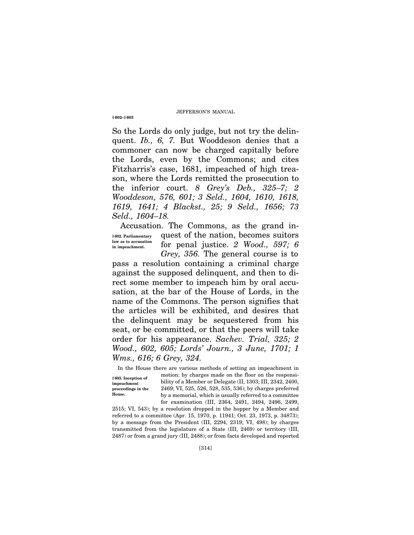So the Lords do only judge, but not try the delinquent. *Ib., 6, 7.* But Wooddeson denies that a commoner can now be charged capitally before the Lords, even by the Commons; and cites Fitzharris's case, 1681, impeached of high treason, where the Lords remitted the prosecution to the inferior court. *8 Grey's Deb., 325–7; 2 Wooddeson, 576, 601; 3 Seld., 1604, 1610, 1618, 1619, 1641; 4 Blackst., 25; 9 Seld., 1656; 73 Seld., 1604–18.* 

Accusation. The Commons, as the grand in-**§ 602. Parliamentary law as to accusation in impeachment.** 

quest of the nation, becomes suitors for penal justice. *2 Wood., 597; 6 Grey, 356.* The general course is to

pass a resolution containing a criminal charge against the supposed delinquent, and then to direct some member to impeach him by oral accusation, at the bar of the House of Lords, in the name of the Commons. The person signifies that the articles will be exhibited, and desires that the delinquent may be sequestered from his seat, or be committed, or that the peers will take order for his appearance. *Sachev. Trial, 325; 2 Wood., 602, 605; Lords' Journ., 3 June, 1701; 1 Wms., 616; 6 Grey, 324.*

In the House there are various methods of setting an impeachment in motion: by charges made on the floor on the responsibility of a Member or Delegate (II, 1303; III, 2342, 2400, 2469; VI, 525, 526, 528, 535, 536); by charges preferred by a memorial, which is usually referred to a committee for examination (III, 2364, 2491, 2494, 2496, 2499, **§ 603. Inception of impeachment proceedings in the House.** 

2515; VI, 543); by a resolution dropped in the hopper by a Member and referred to a committee (Apr. 15, 1970, p. 11941; Oct. 23, 1973, p. 34873); by a message from the President (III, 2294, 2319; VI, 498); by charges transmitted from the legislature of a State (III, 2469) or territory (III, 2487) or from a grand jury (III, 2488); or from facts developed and reported

**§ 602–§ 603**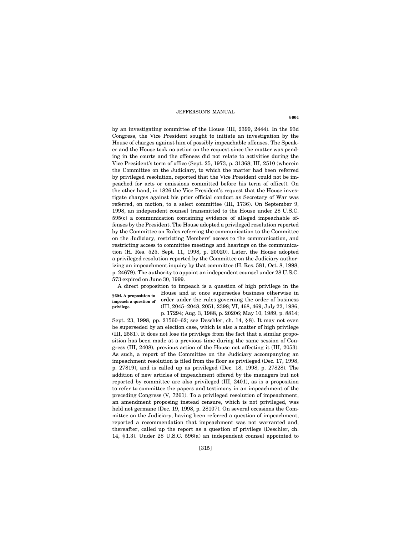by an investigating committee of the House (III, 2399, 2444). In the 93d Congress, the Vice President sought to initiate an investigation by the House of charges against him of possibly impeachable offenses. The Speaker and the House took no action on the request since the matter was pending in the courts and the offenses did not relate to activities during the Vice President's term of office (Sept. 25, 1973, p. 31368; III, 2510 (wherein the Committee on the Judiciary, to which the matter had been referred by privileged resolution, reported that the Vice President could not be impeached for acts or omissions committed before his term of office)). On the other hand, in 1826 the Vice President's request that the House investigate charges against his prior official conduct as Secretary of War was referred, on motion, to a select committee (III, 1736). On September 9, 1998, an independent counsel transmitted to the House under 28 U.S.C. 595(c) a communication containing evidence of alleged impeachable offenses by the President. The House adopted a privileged resolution reported by the Committee on Rules referring the communication to the Committee on the Judiciary, restricting Members' access to the communication, and restricting access to committee meetings and hearings on the communication (H. Res. 525, Sept. 11, 1998, p. 20020). Later, the House adopted a privileged resolution reported by the Committee on the Judiciary authorizing an impeachment inquiry by that committee (H. Res. 581, Oct. 8, 1998, p. 24679). The authority to appoint an independent counsel under 28 U.S.C. 573 expired on June 30, 1999.

A direct proposition to impeach is a question of high privilege in the House and at once supersedes business otherwise in **§ 604. A proposition to** 

**impeach a question of privilege.** 

order under the rules governing the order of business (III, 2045–2048, 2051, 2398; VI, 468, 469; July 22, 1986, p. 17294; Aug. 3, 1988, p. 20206; May 10, 1989, p. 8814;

Sept. 23, 1998, pp. 21560–62; see Deschler, ch. 14, § 8). It may not even be superseded by an election case, which is also a matter of high privilege (III, 2581). It does not lose its privilege from the fact that a similar proposition has been made at a previous time during the same session of Congress (III, 2408), previous action of the House not affecting it (III, 2053). As such, a report of the Committee on the Judiciary accompanying an impeachment resolution is filed from the floor as privileged (Dec. 17, 1998, p. 27819), and is called up as privileged (Dec. 18, 1998, p. 27828). The addition of new articles of impeachment offered by the managers but not reported by committee are also privileged (III, 2401), as is a proposition to refer to committee the papers and testimony in an impeachment of the preceding Congress (V, 7261). To a privileged resolution of impeachment, an amendment proposing instead censure, which is not privileged, was held not germane (Dec. 19, 1998, p. 28107). On several occasions the Committee on the Judiciary, having been referred a question of impeachment, reported a recommendation that impeachment was not warranted and, thereafter, called up the report as a question of privilege (Deschler, ch. 14, § 1.3). Under 28 U.S.C. 596(a) an independent counsel appointed to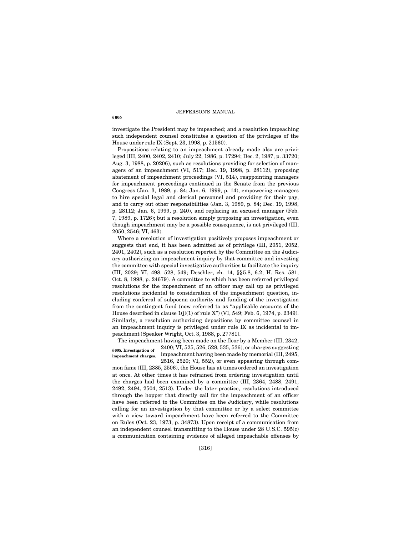investigate the President may be impeached; and a resolution impeaching such independent counsel constitutes a question of the privileges of the House under rule IX (Sept. 23, 1998, p. 21560).

Propositions relating to an impeachment already made also are privileged (III, 2400, 2402, 2410; July 22, 1986, p. 17294; Dec. 2, 1987, p. 33720; Aug. 3, 1988, p. 20206), such as resolutions providing for selection of managers of an impeachment (VI, 517; Dec. 19, 1998, p. 28112), proposing abatement of impeachment proceedings (VI, 514), reappointing managers for impeachment proceedings continued in the Senate from the previous Congress (Jan. 3, 1989, p. 84; Jan. 6, 1999, p. 14), empowering managers to hire special legal and clerical personnel and providing for their pay, and to carry out other responsibilities (Jan. 3, 1989, p. 84; Dec. 19, 1998, p. 28112; Jan. 6, 1999, p. 240), and replacing an excused manager (Feb. 7, 1989, p. 1726); but a resolution simply proposing an investigation, even though impeachment may be a possible consequence, is not privileged (III, 2050, 2546; VI, 463).

Where a resolution of investigation positively proposes impeachment or suggests that end, it has been admitted as of privilege (III, 2051, 2052, 2401, 2402), such as a resolution reported by the Committee on the Judiciary authorizing an impeachment inquiry by that committee and investing the committee with special investigative authorities to facilitate the inquiry (III, 2029; VI, 498, 528, 549; Deschler, ch. 14, §§ 5.8, 6.2; H. Res. 581, Oct. 8, 1998, p. 24679). A committee to which has been referred privileged resolutions for the impeachment of an officer may call up as privileged resolutions incidental to consideration of the impeachment question, including conferral of subpoena authority and funding of the investigation from the contingent fund (now referred to as ''applicable accounts of the House described in clause  $1(j)(1)$  of rule X") (VI, 549; Feb. 6, 1974, p. 2349). Similarly, a resolution authorizing depositions by committee counsel in an impeachment inquiry is privileged under rule IX as incidental to impeachment (Speaker Wright, Oct. 3, 1988, p. 27781).

The impeachment having been made on the floor by a Member (III, 2342, 2400; VI, 525, 526, 528, 535, 536), or charges suggesting impeachment having been made by memorial (III, 2495, **§ 605. Investigation of impeachment charges.** 

2516, 2520; VI, 552), or even appearing through com-

mon fame (III, 2385, 2506), the House has at times ordered an investigation at once. At other times it has refrained from ordering investigation until the charges had been examined by a committee (III, 2364, 2488, 2491, 2492, 2494, 2504, 2513). Under the later practice, resolutions introduced through the hopper that directly call for the impeachment of an officer have been referred to the Committee on the Judiciary, while resolutions calling for an investigation by that committee or by a select committee with a view toward impeachment have been referred to the Committee on Rules (Oct. 23, 1973, p. 34873). Upon receipt of a communication from an independent counsel transmitting to the House under 28 U.S.C. 595(c) a communication containing evidence of alleged impeachable offenses by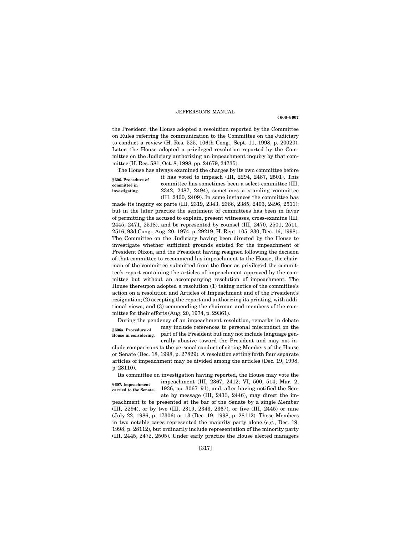**§ 606–§ 607**

the President, the House adopted a resolution reported by the Committee on Rules referring the communication to the Committee on the Judiciary to conduct a review (H. Res. 525, 106th Cong., Sept. 11, 1998, p. 20020). Later, the House adopted a privileged resolution reported by the Committee on the Judiciary authorizing an impeachment inquiry by that committee (H. Res. 581, Oct. 8, 1998, pp. 24679, 24735).

The House has always examined the charges by its own committee before

**§ 606. Procedure of committee in investigating.** 

it has voted to impeach (III, 2294, 2487, 2501). This committee has sometimes been a select committee (III, 2342, 2487, 2494), sometimes a standing committee (III, 2400, 2409). In some instances the committee has

made its inquiry ex parte (III, 2319, 2343, 2366, 2385, 2403, 2496, 2511); but in the later practice the sentiment of committees has been in favor of permitting the accused to explain, present witnesses, cross-examine (III, 2445, 2471, 2518), and be represented by counsel (III, 2470, 2501, 2511, 2516; 93d Cong., Aug. 20, 1974, p. 29219; H. Rept. 105–830, Dec. 16, 1998). The Committee on the Judiciary having been directed by the House to investigate whether sufficient grounds existed for the impeachment of President Nixon, and the President having resigned following the decision of that committee to recommend his impeachment to the House, the chairman of the committee submitted from the floor as privileged the committee's report containing the articles of impeachment approved by the committee but without an accompanying resolution of impeachment. The House thereupon adopted a resolution (1) taking notice of the committee's action on a resolution and Articles of Impeachment and of the President's resignation; (2) accepting the report and authorizing its printing, with additional views; and (3) commending the chairman and members of the committee for their efforts (Aug. 20, 1974, p. 29361).

During the pendency of an impeachment resolution, remarks in debate may include references to personal misconduct on the part of the President but may not include language generally abusive toward the President and may not in-**§ 606a. Procedure of House in considering.** 

clude comparisons to the personal conduct of sitting Members of the House or Senate (Dec. 18, 1998, p. 27829). A resolution setting forth four separate articles of impeachment may be divided among the articles (Dec. 19, 1998, p. 28110).

Its committee on investigation having reported, the House may vote the

**§ 607. Impeachment carried to the Senate.**  impeachment (III, 2367, 2412; VI, 500, 514; Mar. 2, 1936, pp. 3067–91), and, after having notified the Senate by message (III, 2413, 2446), may direct the im-

peachment to be presented at the bar of the Senate by a single Member (III, 2294), or by two (III, 2319, 2343, 2367), or five (III, 2445) or nine (July 22, 1986, p. 17306) or 13 (Dec. 19, 1998, p. 28112). These Members in two notable cases represented the majority party alone (*e.g.*, Dec. 19, 1998, p. 28112), but ordinarily include representation of the minority party (III, 2445, 2472, 2505). Under early practice the House elected managers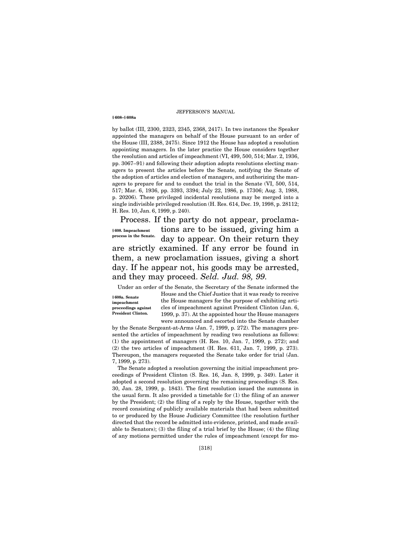by ballot (III, 2300, 2323, 2345, 2368, 2417). In two instances the Speaker appointed the managers on behalf of the House pursuant to an order of the House (III, 2388, 2475). Since 1912 the House has adopted a resolution appointing managers. In the later practice the House considers together the resolution and articles of impeachment (VI, 499, 500, 514; Mar. 2, 1936, pp. 3067–91) and following their adoption adopts resolutions electing managers to present the articles before the Senate, notifying the Senate of the adoption of articles and election of managers, and authorizing the managers to prepare for and to conduct the trial in the Senate (VI, 500, 514, 517; Mar. 6, 1936, pp. 3393, 3394; July 22, 1986, p. 17306; Aug. 3, 1988, p. 20206). These privileged incidental resolutions may be merged into a single indivisible privileged resolution (H. Res. 614, Dec. 19, 1998, p. 28112; H. Res. 10, Jan. 6, 1999, p. 240).

Process. If the party do not appear, proclamations are to be issued, giving him a day to appear. On their return they are strictly examined. If any error be found in them, a new proclamation issues, giving a short day. If he appear not, his goods may be arrested, and they may proceed. *Seld. Jud. 98, 99.* **§ 608. Impeachment process in the Senate.** 

Under an order of the Senate, the Secretary of the Senate informed the

**§ 608a. Senate impeachment proceedings against President Clinton.** 

**§ 608–§ 608a** 

House and the Chief Justice that it was ready to receive the House managers for the purpose of exhibiting articles of impeachment against President Clinton (Jan. 6, 1999, p. 37). At the appointed hour the House managers were announced and escorted into the Senate chamber

by the Senate Sergeant-at-Arms (Jan. 7, 1999, p. 272). The managers presented the articles of impeachment by reading two resolutions as follows: (1) the appointment of managers (H. Res. 10, Jan. 7, 1999, p. 272); and (2) the two articles of impeachment (H. Res. 611, Jan. 7, 1999, p. 273). Thereupon, the managers requested the Senate take order for trial (Jan. 7, 1999, p. 273).

The Senate adopted a resolution governing the initial impeachment proceedings of President Clinton (S. Res. 16, Jan. 8, 1999, p. 349). Later it adopted a second resolution governing the remaining proceedings (S. Res. 30, Jan. 28, 1999, p. 1843). The first resolution issued the summons in the usual form. It also provided a timetable for (1) the filing of an answer by the President; (2) the filing of a reply by the House, together with the record consisting of publicly available materials that had been submitted to or produced by the House Judiciary Committee (the resolution further directed that the record be admitted into evidence, printed, and made available to Senators); (3) the filing of a trial brief by the House; (4) the filing of any motions permitted under the rules of impeachment (except for mo-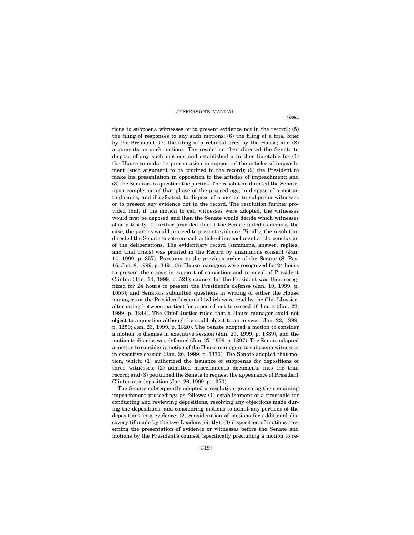tions to subpoena witnesses or to present evidence not in the record); (5) the filing of responses to any such motions; (6) the filing of a trial brief by the President; (7) the filing of a rebuttal brief by the House; and (8) arguments on such motions. The resolution then directed the Senate to dispose of any such motions and established a further timetable for (1) the House to make its presentation in support of the articles of impeachment (such argument to be confined to the record); (2) the President to make his presentation in opposition to the articles of impeachment; and (3) the Senators to question the parties. The resolution directed the Senate, upon completion of that phase of the proceedings, to dispose of a motion to dismiss, and if defeated, to dispose of a motion to subpoena witnesses or to present any evidence not in the record. The resolution further provided that, if the motion to call witnesses were adopted, the witnesses would first be deposed and then the Senate would decide which witnesses should testify. It further provided that if the Senate failed to dismiss the case, the parties would proceed to present evidence. Finally, the resolution directed the Senate to vote on each article of impeachment at the conclusion of the deliberations. The evidentiary record (summons, answer, replies, and trial briefs) was printed in the Record by unanimous consent (Jan. 14, 1999, p. 357). Pursuant to the previous order of the Senate (S. Res. 16, Jan. 8, 1999, p. 349), the House managers were recognized for 24 hours to present their case in support of conviction and removal of President Clinton (Jan. 14, 1999, p. 521); counsel for the President was then recognized for 24 hours to present the President's defense (Jan. 19, 1999, p. 1055); and Senators submitted questions in writing of either the House managers or the President's counsel (which were read by the Chief Justice, alternating between parties) for a period not to exceed 16 hours (Jan. 22, 1999, p. 1244). The Chief Justice ruled that a House manager could not object to a question although he could object to an answer (Jan. 22, 1999, p. 1250; Jan. 23, 1999, p. 1320). The Senate adopted a motion to consider a motion to dismiss in executive session (Jan. 25, 1999, p. 1339), and the motion to dismiss was defeated (Jan. 27, 1999, p. 1397). The Senate adopted a motion to consider a motion of the House managers to subpoena witnesses in executive session (Jan. 26, 1999, p. 1370). The Senate adopted that motion, which: (1) authorized the issuance of subpoenas for depositions of three witnesses; (2) admitted miscellaneous documents into the trial record; and (3) petitioned the Senate to request the appearance of President Clinton at a deposition (Jan. 26, 1999, p. 1370).

The Senate subsequently adopted a resolution governing the remaining impeachment proceedings as follows: (1) establishment of a timetable for conducting and reviewing depositions, resolving any objections made during the depositions, and considering motions to admit any portions of the depositions into evidence; (2) consideration of motions for additional discovery (if made by the two Leaders jointly); (3) disposition of motions governing the presentation of evidence or witnesses before the Senate and motions by the President's counsel (specifically precluding a motion to re-

**§ 608a**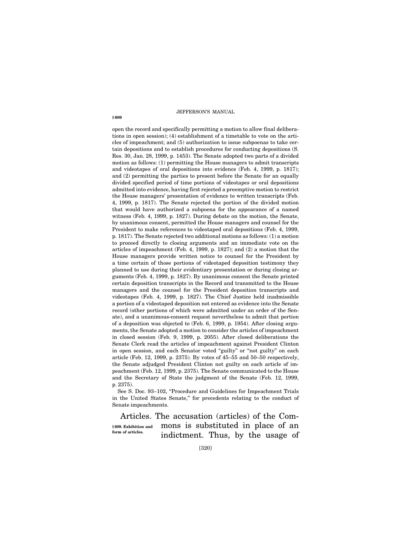open the record and specifically permitting a motion to allow final deliberations in open session); (4) establishment of a timetable to vote on the articles of impeachment; and (5) authorization to issue subpoenas to take certain depositions and to establish procedures for conducting depositions (S. Res. 30, Jan. 28, 1999, p. 1453). The Senate adopted two parts of a divided motion as follows: (1) permitting the House managers to admit transcripts and videotapes of oral depositions into evidence (Feb. 4, 1999, p. 1817); and (2) permitting the parties to present before the Senate for an equally divided specified period of time portions of videotapes or oral depositions admitted into evidence, having first rejected a preemptive motion to restrict the House managers' presentation of evidence to written transcripts (Feb. 4, 1999, p. 1817). The Senate rejected the portion of the divided motion that would have authorized a subpoena for the appearance of a named witness (Feb. 4, 1999, p. 1827). During debate on the motion, the Senate, by unanimous consent, permitted the House managers and counsel for the President to make references to videotaped oral depositions (Feb. 4, 1999, p. 1817). The Senate rejected two additional motions as follows: (1) a motion to proceed directly to closing arguments and an immediate vote on the articles of impeachment (Feb. 4, 1999, p. 1827); and (2) a motion that the House managers provide written notice to counsel for the President by a time certain of those portions of videotaped deposition testimony they planned to use during their evidentiary presentation or during closing arguments (Feb. 4, 1999, p. 1827). By unanimous consent the Senate printed certain deposition transcripts in the Record and transmitted to the House managers and the counsel for the President deposition transcripts and videotapes (Feb. 4, 1999, p. 1827). The Chief Justice held inadmissible a portion of a videotaped deposition not entered as evidence into the Senate record (other portions of which were admitted under an order of the Senate), and a unanimous-consent request nevertheless to admit that portion of a deposition was objected to (Feb. 6, 1999, p. 1954). After closing arguments, the Senate adopted a motion to consider the articles of impeachment in closed session (Feb. 9, 1999, p. 2055). After closed deliberations the Senate Clerk read the articles of impeachment against President Clinton in open session, and each Senator voted ''guilty'' or ''not guilty'' on each article (Feb. 12, 1999, p. 2375). By votes of 45–55 and 50–50 respectively, the Senate adjudged President Clinton not guilty on each article of impeachment (Feb. 12, 1999, p. 2375). The Senate communicated to the House and the Secretary of State the judgment of the Senate (Feb. 12, 1999, p. 2375).

See S. Doc. 93-102, "Procedure and Guidelines for Impeachment Trials in the United States Senate,'' for precedents relating to the conduct of Senate impeachments.

Articles. The accusation (articles) of the Commons is substituted in place of an indictment. Thus, by the usage of **§ 609. Exhibition and form of articles.**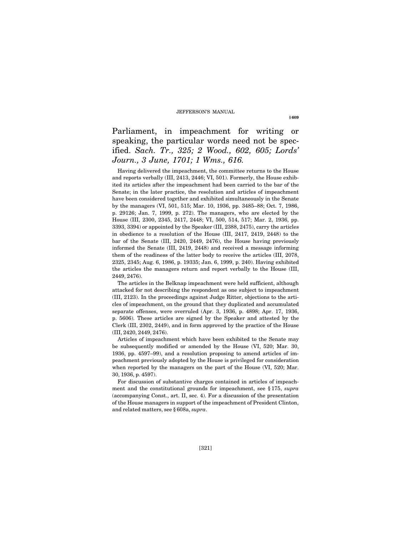Parliament, in impeachment for writing or speaking, the particular words need not be specified. *Sach. Tr., 325; 2 Wood., 602, 605; Lords' Journ., 3 June, 1701; 1 Wms., 616.*

Having delivered the impeachment, the committee returns to the House and reports verbally (III, 2413, 2446; VI, 501). Formerly, the House exhibited its articles after the impeachment had been carried to the bar of the Senate; in the later practice, the resolution and articles of impeachment have been considered together and exhibited simultaneously in the Senate by the managers (VI, 501, 515; Mar. 10, 1936, pp. 3485–88; Oct. 7, 1986, p. 29126; Jan. 7, 1999, p. 272). The managers, who are elected by the House (III, 2300, 2345, 2417, 2448; VI, 500, 514, 517; Mar. 2, 1936, pp. 3393, 3394) or appointed by the Speaker (III, 2388, 2475), carry the articles in obedience to a resolution of the House (III, 2417, 2419, 2448) to the bar of the Senate (III, 2420, 2449, 2476), the House having previously informed the Senate (III, 2419, 2448) and received a message informing them of the readiness of the latter body to receive the articles (III, 2078, 2325, 2345; Aug. 6, 1986, p. 19335; Jan. 6, 1999, p. 240). Having exhibited the articles the managers return and report verbally to the House (III, 2449, 2476).

The articles in the Belknap impeachment were held sufficient, although attacked for not describing the respondent as one subject to impeachment (III, 2123). In the proceedings against Judge Ritter, objections to the articles of impeachment, on the ground that they duplicated and accumulated separate offenses, were overruled (Apr. 3, 1936, p. 4898; Apr. 17, 1936, p. 5606). These articles are signed by the Speaker and attested by the Clerk (III, 2302, 2449), and in form approved by the practice of the House (III, 2420, 2449, 2476).

Articles of impeachment which have been exhibited to the Senate may be subsequently modified or amended by the House (VI, 520; Mar. 30, 1936, pp. 4597–99), and a resolution proposing to amend articles of impeachment previously adopted by the House is privileged for consideration when reported by the managers on the part of the House (VI, 520; Mar. 30, 1936, p. 4597).

For discussion of substantive charges contained in articles of impeachment and the constitutional grounds for impeachment, see § 175, *supra* (accompanying Const., art. II, sec. 4). For a discussion of the presentation of the House managers in support of the impeachment of President Clinton, and related matters, see § 608a, *supra*.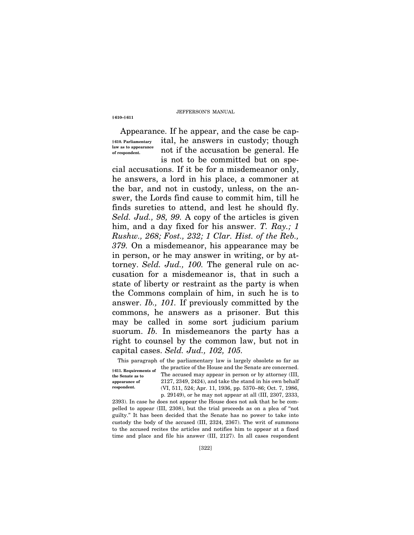**§ 610–§ 611**

Appearance. If he appear, and the case be capital, he answers in custody; though not if the accusation be general. He is not to be committed but on spe-**§ 610. Parliamentary law as to appearance of respondent.** 

cial accusations. If it be for a misdemeanor only, he answers, a lord in his place, a commoner at the bar, and not in custody, unless, on the answer, the Lords find cause to commit him, till he finds sureties to attend, and lest he should fly. *Seld. Jud., 98, 99.* A copy of the articles is given him, and a day fixed for his answer. *T. Ray.; 1 Rushw., 268; Fost., 232; 1 Clar. Hist. of the Reb., 379.* On a misdemeanor, his appearance may be in person, or he may answer in writing, or by attorney. *Seld. Jud., 100.* The general rule on accusation for a misdemeanor is, that in such a state of liberty or restraint as the party is when the Commons complain of him, in such he is to answer. *Ib., 101.* If previously committed by the commons, he answers as a prisoner. But this may be called in some sort judicium parium suorum. *Ib.* In misdemeanors the party has a right to counsel by the common law, but not in capital cases. *Seld. Jud., 102, 105.*

This paragraph of the parliamentary law is largely obsolete so far as

**§ 611. Requirements of the Senate as to appearance of respondent.** 

the practice of the House and the Senate are concerned. The accused may appear in person or by attorney (III, 2127, 2349, 2424), and take the stand in his own behalf (VI, 511, 524; Apr. 11, 1936, pp. 5370–86; Oct. 7, 1986, p. 29149), or he may not appear at all (III, 2307, 2333,

2393). In case he does not appear the House does not ask that he be compelled to appear (III, 2308), but the trial proceeds as on a plea of ''not guilty.'' It has been decided that the Senate has no power to take into custody the body of the accused (III, 2324, 2367). The writ of summons to the accused recites the articles and notifies him to appear at a fixed time and place and file his answer (III, 2127). In all cases respondent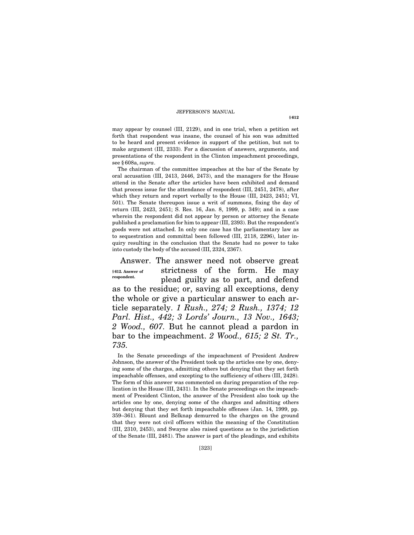may appear by counsel (III, 2129), and in one trial, when a petition set forth that respondent was insane, the counsel of his son was admitted to be heard and present evidence in support of the petition, but not to make argument (III, 2333). For a discussion of answers, arguments, and presentations of the respondent in the Clinton impeachment proceedings, see § 608a, *supra*.

The chairman of the committee impeaches at the bar of the Senate by oral accusation (III, 2413, 2446, 2473), and the managers for the House attend in the Senate after the articles have been exhibited and demand that process issue for the attendance of respondent (III, 2451, 2478), after which they return and report verbally to the House (III, 2423, 2451; VI, 501). The Senate thereupon issue a writ of summons, fixing the day of return (III, 2423, 2451; S. Res. 16, Jan. 8, 1999, p. 349); and in a case wherein the respondent did not appear by person or attorney the Senate published a proclamation for him to appear (III, 2393). But the respondent's goods were not attached. In only one case has the parliamentary law as to sequestration and committal been followed (III, 2118, 2296), later inquiry resulting in the conclusion that the Senate had no power to take into custody the body of the accused (III, 2324, 2367).

Answer. The answer need not observe great strictness of the form. He may plead guilty as to part, and defend as to the residue; or, saving all exceptions, deny the whole or give a particular answer to each article separately. *1 Rush., 274; 2 Rush., 1374; 12 Parl. Hist., 442; 3 Lords' Journ., 13 Nov., 1643; 2 Wood., 607.* But he cannot plead a pardon in bar to the impeachment. *2 Wood., 615; 2 St. Tr., 735.* **§ 612. Answer of respondent.** 

In the Senate proceedings of the impeachment of President Andrew Johnson, the answer of the President took up the articles one by one, denying some of the charges, admitting others but denying that they set forth impeachable offenses, and excepting to the sufficiency of others (III, 2428). The form of this answer was commented on during preparation of the replication in the House (III, 2431). In the Senate proceedings on the impeachment of President Clinton, the answer of the President also took up the articles one by one, denying some of the charges and admitting others but denying that they set forth impeachable offenses (Jan. 14, 1999, pp. 359–361). Blount and Belknap demurred to the charges on the ground that they were not civil officers within the meaning of the Constitution (III, 2310, 2453), and Swayne also raised questions as to the jurisdiction of the Senate (III, 2481). The answer is part of the pleadings, and exhibits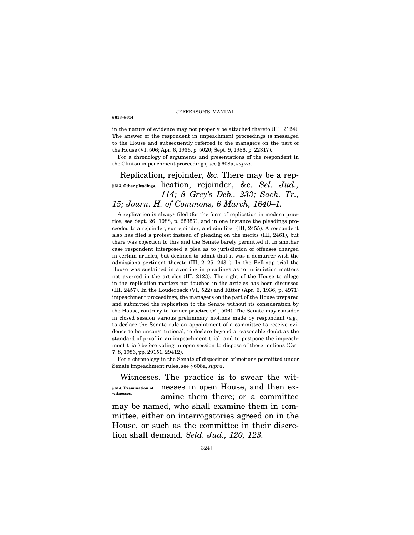**§ 613–§ 614**

in the nature of evidence may not properly be attached thereto (III, 2124). The answer of the respondent in impeachment proceedings is messaged to the House and subsequently referred to the managers on the part of the House (VI, 506; Apr. 6, 1936, p. 5020; Sept. 9, 1986, p. 22317).

For a chronology of arguments and presentations of the respondent in the Clinton impeachment proceedings, see § 608a, *supra*.

Replication, rejoinder, &c. There may be a replication, rejoinder, &c. *Sel. Jud.,*  **§ 613. Other pleadings.**  *114; 8 Grey's Deb., 233; Sach. Tr., 15; Journ. H. of Commons, 6 March, 1640–1.*

A replication is always filed (for the form of replication in modern practice, see Sept. 26, 1988, p. 25357), and in one instance the pleadings proceeded to a rejoinder, surrejoinder, and similiter (III, 2455). A respondent also has filed a protest instead of pleading on the merits (III, 2461), but there was objection to this and the Senate barely permitted it. In another case respondent interposed a plea as to jurisdiction of offenses charged in certain articles, but declined to admit that it was a demurrer with the admissions pertinent thereto (III, 2125, 2431). In the Belknap trial the House was sustained in averring in pleadings as to jurisdiction matters not averred in the articles (III, 2123). The right of the House to allege in the replication matters not touched in the articles has been discussed (III, 2457). In the Louderback (VI, 522) and Ritter (Apr. 6, 1936, p. 4971) impeachment proceedings, the managers on the part of the House prepared and submitted the replication to the Senate without its consideration by the House, contrary to former practice (VI, 506). The Senate may consider in closed session various preliminary motions made by respondent (*e.g.*, to declare the Senate rule on appointment of a committee to receive evidence to be unconstitutional, to declare beyond a reasonable doubt as the standard of proof in an impeachment trial, and to postpone the impeachment trial) before voting in open session to dispose of those motions (Oct. 7, 8, 1986, pp. 29151, 29412).

For a chronology in the Senate of disposition of motions permitted under Senate impeachment rules, see § 608a, *supra*.

Witnesses. The practice is to swear the wit-§614. Examination of nesses in open House, and then examine them there; or a committee may be named, who shall examine them in committee, either on interrogatories agreed on in the House, or such as the committee in their discretion shall demand. *Seld. Jud., 120, 123.* **witnesses.**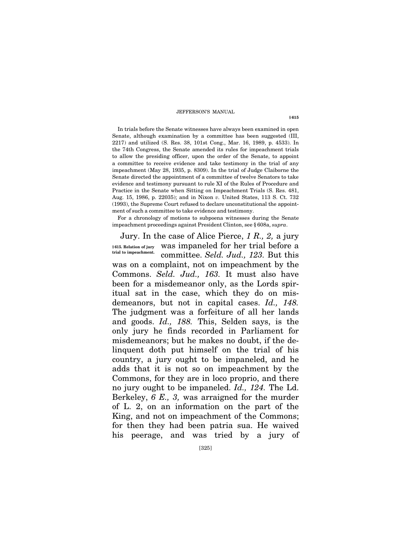In trials before the Senate witnesses have always been examined in open Senate, although examination by a committee has been suggested (III, 2217) and utilized (S. Res. 38, 101st Cong., Mar. 16, 1989, p. 4533). In the 74th Congress, the Senate amended its rules for impeachment trials to allow the presiding officer, upon the order of the Senate, to appoint a committee to receive evidence and take testimony in the trial of any impeachment (May 28, 1935, p. 8309). In the trial of Judge Claiborne the Senate directed the appointment of a committee of twelve Senators to take evidence and testimony pursuant to rule XI of the Rules of Procedure and Practice in the Senate when Sitting on Impeachment Trials (S. Res. 481, Aug. 15, 1986, p. 22035); and in Nixon *v.* United States, 113 S. Ct. 732 (1993), the Supreme Court refused to declare unconstitutional the appointment of such a committee to take evidence and testimony.

For a chronology of motions to subpoena witnesses during the Senate impeachment proceedings against President Clinton, see § 608a, *supra*.

Jury. In the case of Alice Pierce, *1 R., 2,* a jury was impaneled for her trial before a committee. *Seld. Jud., 123.* But this was on a complaint, not on impeachment by the Commons. *Seld. Jud., 163.* It must also have been for a misdemeanor only, as the Lords spiritual sat in the case, which they do on misdemeanors, but not in capital cases. *Id., 148.* The judgment was a forfeiture of all her lands and goods. *Id., 188.* This, Selden says, is the only jury he finds recorded in Parliament for misdemeanors; but he makes no doubt, if the delinquent doth put himself on the trial of his country, a jury ought to be impaneled, and he adds that it is not so on impeachment by the Commons, for they are in loco proprio, and there no jury ought to be impaneled. *Id., 124.* The Ld. Berkeley, *6 E., 3,* was arraigned for the murder of L. 2, on an information on the part of the King, and not on impeachment of the Commons; for then they had been patria sua. He waived his peerage, and was tried by a jury of **§ 615. Relation of jury trial to impeachment.** 

[325]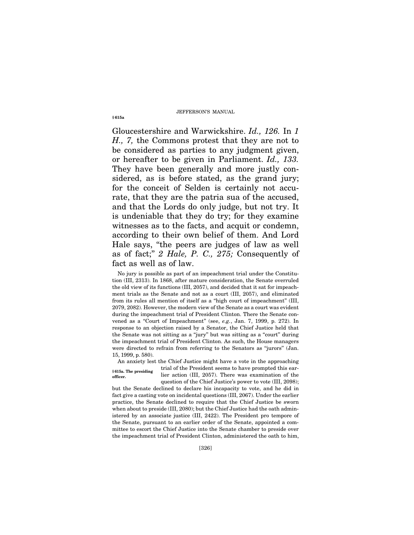Gloucestershire and Warwickshire. *Id., 126.* In *1 H., 7,* the Commons protest that they are not to be considered as parties to any judgment given, or hereafter to be given in Parliament. *Id., 133.* They have been generally and more justly considered, as is before stated, as the grand jury; for the conceit of Selden is certainly not accurate, that they are the patria sua of the accused, and that the Lords do only judge, but not try. It is undeniable that they do try; for they examine witnesses as to the facts, and acquit or condemn, according to their own belief of them. And Lord Hale says, ''the peers are judges of law as well as of fact;'' *2 Hale, P. C., 275;* Consequently of fact as well as of law.

No jury is possible as part of an impeachment trial under the Constitution (III, 2313). In 1868, after mature consideration, the Senate overruled the old view of its functions (III, 2057), and decided that it sat for impeachment trials as the Senate and not as a court (III, 2057), and eliminated from its rules all mention of itself as a ''high court of impeachment'' (III, 2079, 2082). However, the modern view of the Senate as a court was evident during the impeachment trial of President Clinton. There the Senate convened as a ''Court of Impeachment'' (see, *e.g.*, Jan. 7, 1999, p. 272). In response to an objection raised by a Senator, the Chief Justice held that the Senate was not sitting as a ''jury'' but was sitting as a ''court'' during the impeachment trial of President Clinton. As such, the House managers were directed to refrain from referring to the Senators as "jurors" (Jan. 15, 1999, p. 580).

An anxiety lest the Chief Justice might have a vote in the approaching

**§ 615a. The presiding officer.** 

trial of the President seems to have prompted this earlier action (III, 2057). There was examination of the question of the Chief Justice's power to vote (III, 2098);

but the Senate declined to declare his incapacity to vote, and he did in fact give a casting vote on incidental questions (III, 2067). Under the earlier practice, the Senate declined to require that the Chief Justice be sworn when about to preside (III, 2080); but the Chief Justice had the oath administered by an associate justice (III, 2422). The President pro tempore of the Senate, pursuant to an earlier order of the Senate, appointed a committee to escort the Chief Justice into the Senate chamber to preside over the impeachment trial of President Clinton, administered the oath to him,

**§ 615a**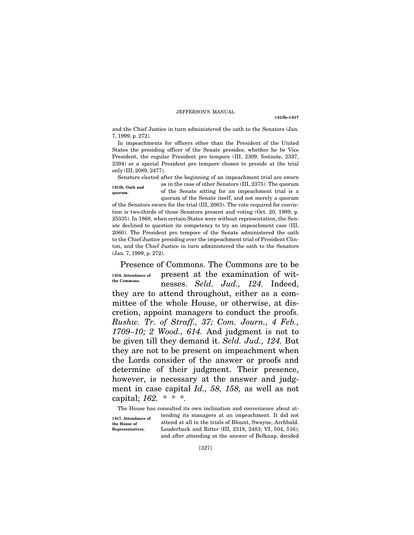**§ 615b–§ 617**

and the Chief Justice in turn administered the oath to the Senators (Jan. 7, 1999, p. 272).

In impeachments for officers other than the President of the United States the presiding officer of the Senate presides, whether he be Vice President, the regular President pro tempore (III, 2309, footnote, 2337, 2394) or a special President pro tempore chosen to preside at the trial only (III, 2089, 2477).

Senators elected after the beginning of an impeachment trial are sworn as in the case of other Senators (III, 2375). The quorum of the Senate sitting for an impeachment trial is a quorum of the Senate itself, and not merely a quorum **§ 615b. Oath and quorum.** 

of the Senators sworn for the trial (III, 2063). The vote required for conviction is two-thirds of those Senators present and voting (Oct. 20, 1989, p. 25335). In 1868, when certain States were without representation, the Senate declined to question its competency to try an impeachment case (III, 2060). The President pro tempore of the Senate administered the oath to the Chief Justice presiding over the impeachment trial of President Clinton, and the Chief Justice in turn administered the oath to the Senators (Jan. 7, 1999, p. 272).

Presence of Commons. The Commons are to be present at the examination of witnesses. *Seld. Jud., 124.* Indeed, they are to attend throughout, either as a committee of the whole House, or otherwise, at discretion, appoint managers to conduct the proofs. *Rushw. Tr. of Straff., 37; Com. Journ., 4 Feb., 1709–10; 2 Wood., 614.* And judgment is not to be given till they demand it. *Seld. Jud., 124.* But they are not to be present on impeachment when the Lords consider of the answer or proofs and determine of their judgment. Their presence, however, is necessary at the answer and judgment in case capital *Id., 58, 158,* as well as not capital; *162. \* \* \*.* **§ 616. Attendance of the Commons.** 

The House has consulted its own inclination and convenience about attending its managers at an impeachment. It did not attend at all in the trials of Blount, Swayne, Archbald. Louderback and Ritter (III, 2318, 2483; VI, 504, 516); and after attending at the answer of Belknap, decided **§ 617. Attendance of the House of Representatives.**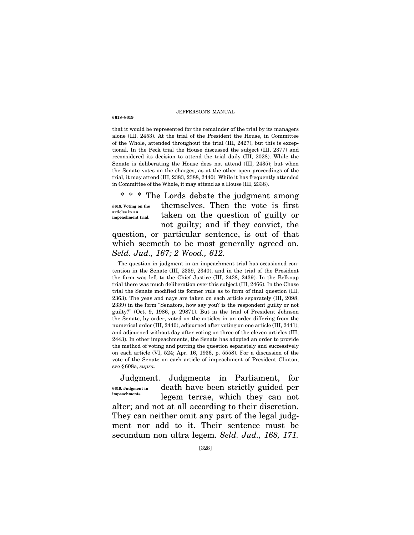**§ 618–§ 619**

that it would be represented for the remainder of the trial by its managers alone (III, 2453). At the trial of the President the House, in Committee of the Whole, attended throughout the trial (III, 2427), but this is exceptional. In the Peck trial the House discussed the subject (III, 2377) and reconsidered its decision to attend the trial daily (III, 2028). While the Senate is deliberating the House does not attend (III, 2435); but when the Senate votes on the charges, as at the other open proceedings of the trial, it may attend (III, 2383, 2388, 2440). While it has frequently attended in Committee of the Whole, it may attend as a House (III, 2338).

\* \* \* The Lords debate the judgment among themselves. Then the vote is first taken on the question of guilty or not guilty; and if they convict, the question, or particular sentence, is out of that which seemeth to be most generally agreed on. *Seld. Jud., 167; 2 Wood., 612.* **§ 618. Voting on the articles in an impeachment trial.** 

The question in judgment in an impeachment trial has occasioned contention in the Senate (III, 2339, 2340), and in the trial of the President the form was left to the Chief Justice (III, 2438, 2439). In the Belknap trial there was much deliberation over this subject (III, 2466). In the Chase trial the Senate modified its former rule as to form of final question (III, 2363). The yeas and nays are taken on each article separately (III, 2098, 2339) in the form ''Senators, how say you? is the respondent guilty or not guilty?'' (Oct. 9, 1986, p. 29871). But in the trial of President Johnson the Senate, by order, voted on the articles in an order differing from the numerical order (III, 2440), adjourned after voting on one article (III, 2441), and adjourned without day after voting on three of the eleven articles (III, 2443). In other impeachments, the Senate has adopted an order to provide the method of voting and putting the question separately and successively on each article (VI, 524; Apr. 16, 1936, p. 5558). For a discussion of the vote of the Senate on each article of impeachment of President Clinton, see § 608a, *supra*.

Judgment. Judgments in Parliament, for death have been strictly guided per legem terrae, which they can not alter; and not at all according to their discretion. They can neither omit any part of the legal judgment nor add to it. Their sentence must be secundum non ultra legem. *Seld. Jud., 168, 171.*  **§ 619. Judgment in impeachments.**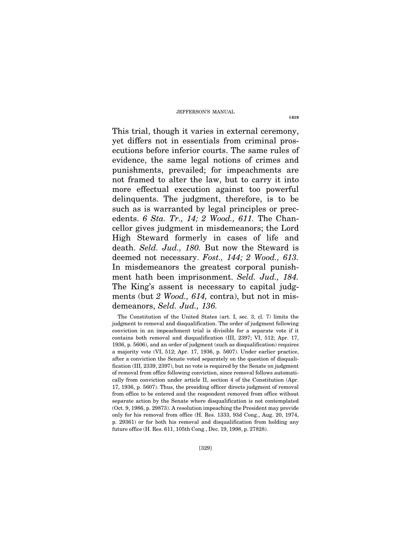This trial, though it varies in external ceremony, yet differs not in essentials from criminal prosecutions before inferior courts. The same rules of evidence, the same legal notions of crimes and punishments, prevailed; for impeachments are not framed to alter the law, but to carry it into more effectual execution against too powerful delinquents. The judgment, therefore, is to be such as is warranted by legal principles or precedents. *6 Sta. Tr., 14; 2 Wood., 611.* The Chancellor gives judgment in misdemeanors; the Lord High Steward formerly in cases of life and death. *Seld. Jud., 180.* But now the Steward is deemed not necessary. *Fost., 144; 2 Wood., 613.*  In misdemeanors the greatest corporal punishment hath been imprisonment. *Seld. Jud., 184.*  The King's assent is necessary to capital judgments (but *2 Wood., 614,* contra), but not in misdemeanors, *Seld. Jud., 136.*

The Constitution of the United States (art. I, sec. 3, cl. 7) limits the judgment to removal and disqualification. The order of judgment following conviction in an impeachment trial is divisible for a separate vote if it contains both removal and disqualification (III, 2397; VI, 512; Apr. 17, 1936, p. 5606), and an order of judgment (such as disqualification) requires a majority vote (VI, 512; Apr. 17, 1936, p. 5607). Under earlier practice, after a conviction the Senate voted separately on the question of disqualification (III, 2339, 2397), but no vote is required by the Senate on judgment of removal from office following conviction, since removal follows automatically from conviction under article II, section 4 of the Constitution (Apr. 17, 1936, p. 5607). Thus, the presiding officer directs judgment of removal from office to be entered and the respondent removed from office without separate action by the Senate where disqualification is not contemplated (Oct. 9, 1986, p. 29873). A resolution impeaching the President may provide only for his removal from office (H. Res. 1333, 93d Cong., Aug. 20, 1974, p. 29361) or for both his removal and disqualification from holding any future office (H. Res. 611, 105th Cong., Dec. 19, 1998, p. 27828).